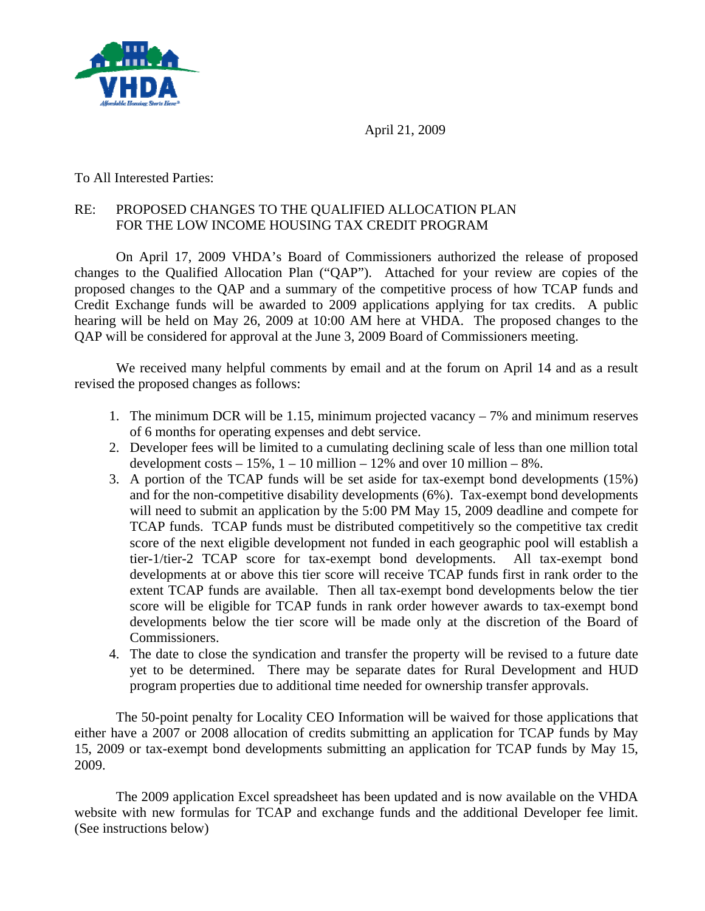

April 21, 2009

To All Interested Parties:

# RE: PROPOSED CHANGES TO THE QUALIFIED ALLOCATION PLAN FOR THE LOW INCOME HOUSING TAX CREDIT PROGRAM

On April 17, 2009 VHDA's Board of Commissioners authorized the release of proposed changes to the Qualified Allocation Plan ("QAP"). Attached for your review are copies of the proposed changes to the QAP and a summary of the competitive process of how TCAP funds and Credit Exchange funds will be awarded to 2009 applications applying for tax credits. A public hearing will be held on May 26, 2009 at 10:00 AM here at VHDA. The proposed changes to the QAP will be considered for approval at the June 3, 2009 Board of Commissioners meeting.

We received many helpful comments by email and at the forum on April 14 and as a result revised the proposed changes as follows:

- 1. The minimum DCR will be 1.15, minimum projected vacancy 7% and minimum reserves of 6 months for operating expenses and debt service.
- 2. Developer fees will be limited to a cumulating declining scale of less than one million total development costs  $-15\%$ ,  $1 - 10$  million  $-12\%$  and over 10 million  $-8\%$ .
- 3. A portion of the TCAP funds will be set aside for tax-exempt bond developments (15%) and for the non-competitive disability developments (6%). Tax-exempt bond developments will need to submit an application by the 5:00 PM May 15, 2009 deadline and compete for TCAP funds. TCAP funds must be distributed competitively so the competitive tax credit score of the next eligible development not funded in each geographic pool will establish a tier-1/tier-2 TCAP score for tax-exempt bond developments. All tax-exempt bond developments at or above this tier score will receive TCAP funds first in rank order to the extent TCAP funds are available. Then all tax-exempt bond developments below the tier score will be eligible for TCAP funds in rank order however awards to tax-exempt bond developments below the tier score will be made only at the discretion of the Board of Commissioners.
- 4. The date to close the syndication and transfer the property will be revised to a future date yet to be determined. There may be separate dates for Rural Development and HUD program properties due to additional time needed for ownership transfer approvals.

The 50-point penalty for Locality CEO Information will be waived for those applications that either have a 2007 or 2008 allocation of credits submitting an application for TCAP funds by May 15, 2009 or tax-exempt bond developments submitting an application for TCAP funds by May 15, 2009.

The 2009 application Excel spreadsheet has been updated and is now available on the VHDA website with new formulas for TCAP and exchange funds and the additional Developer fee limit. (See instructions below)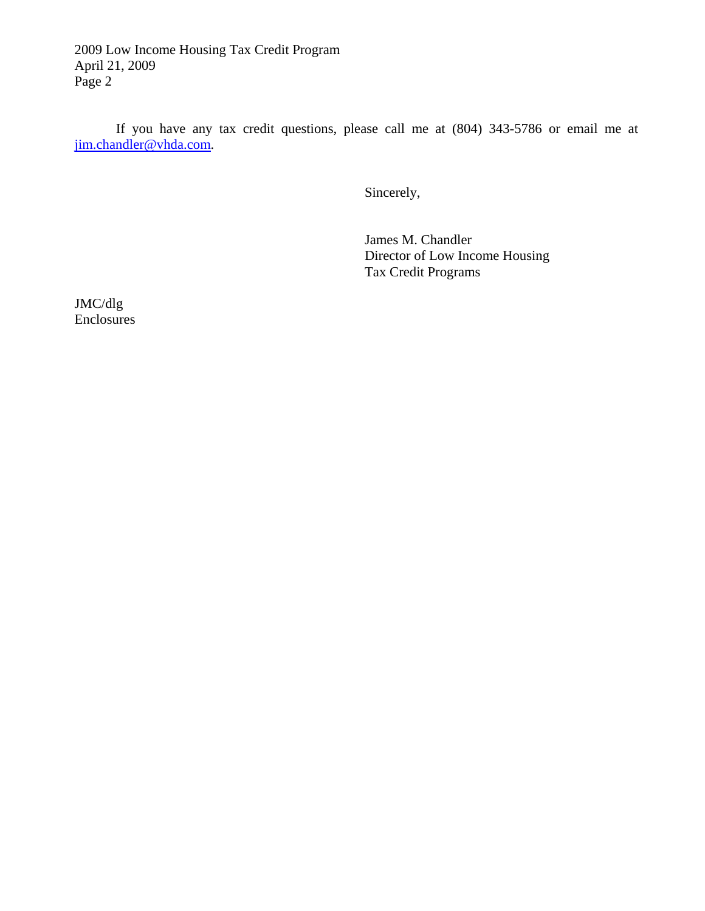2009 Low Income Housing Tax Credit Program April 21, 2009 Page 2

If you have any tax credit questions, please call me at (804) 343-5786 or email me at [jim.chandler@vhda.com](mailto:jim.chandler@vhda.com).

Sincerely,

 James M. Chandler Director of Low Income Housing Tax Credit Programs

JMC/dlg Enclosures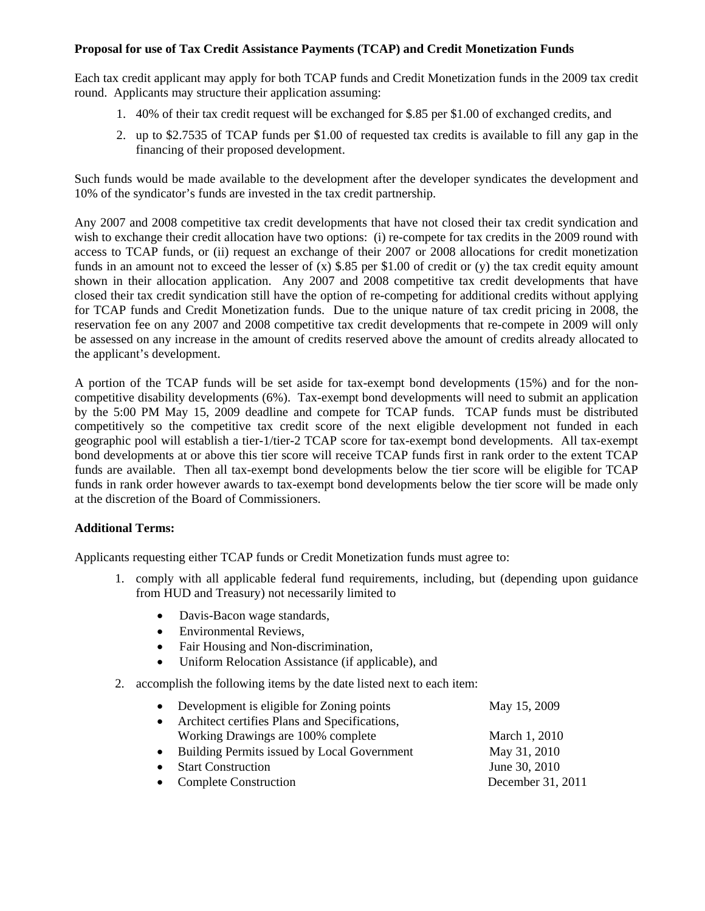## **Proposal for use of Tax Credit Assistance Payments (TCAP) and Credit Monetization Funds**

Each tax credit applicant may apply for both TCAP funds and Credit Monetization funds in the 2009 tax credit round. Applicants may structure their application assuming:

- 1. 40% of their tax credit request will be exchanged for \$.85 per \$1.00 of exchanged credits, and
- 2. up to \$2.7535 of TCAP funds per \$1.00 of requested tax credits is available to fill any gap in the financing of their proposed development.

Such funds would be made available to the development after the developer syndicates the development and 10% of the syndicator's funds are invested in the tax credit partnership.

Any 2007 and 2008 competitive tax credit developments that have not closed their tax credit syndication and wish to exchange their credit allocation have two options: (i) re-compete for tax credits in the 2009 round with access to TCAP funds, or (ii) request an exchange of their 2007 or 2008 allocations for credit monetization funds in an amount not to exceed the lesser of  $(x)$  \$.85 per \$1.00 of credit or  $(y)$  the tax credit equity amount shown in their allocation application. Any 2007 and 2008 competitive tax credit developments that have closed their tax credit syndication still have the option of re-competing for additional credits without applying for TCAP funds and Credit Monetization funds. Due to the unique nature of tax credit pricing in 2008, the reservation fee on any 2007 and 2008 competitive tax credit developments that re-compete in 2009 will only be assessed on any increase in the amount of credits reserved above the amount of credits already allocated to the applicant's development.

A portion of the TCAP funds will be set aside for tax-exempt bond developments (15%) and for the noncompetitive disability developments (6%). Tax-exempt bond developments will need to submit an application by the 5:00 PM May 15, 2009 deadline and compete for TCAP funds. TCAP funds must be distributed competitively so the competitive tax credit score of the next eligible development not funded in each geographic pool will establish a tier-1/tier-2 TCAP score for tax-exempt bond developments. All tax-exempt bond developments at or above this tier score will receive TCAP funds first in rank order to the extent TCAP funds are available. Then all tax-exempt bond developments below the tier score will be eligible for TCAP funds in rank order however awards to tax-exempt bond developments below the tier score will be made only at the discretion of the Board of Commissioners.

### **Additional Terms:**

Applicants requesting either TCAP funds or Credit Monetization funds must agree to:

- 1. comply with all applicable federal fund requirements, including, but (depending upon guidance from HUD and Treasury) not necessarily limited to
	- Davis-Bacon wage standards,
	- Environmental Reviews,
	- Fair Housing and Non-discrimination,
	- Uniform Relocation Assistance (if applicable), and
- 2. accomplish the following items by the date listed next to each item:

|           | • Development is eligible for Zoning points   | May 15, 2009      |
|-----------|-----------------------------------------------|-------------------|
| $\bullet$ | Architect certifies Plans and Specifications, |                   |
|           | Working Drawings are 100% complete            | March 1, 2010     |
| $\bullet$ | Building Permits issued by Local Government   | May 31, 2010      |
|           | • Start Construction                          | June 30, 2010     |
|           | • Complete Construction                       | December 31, 2011 |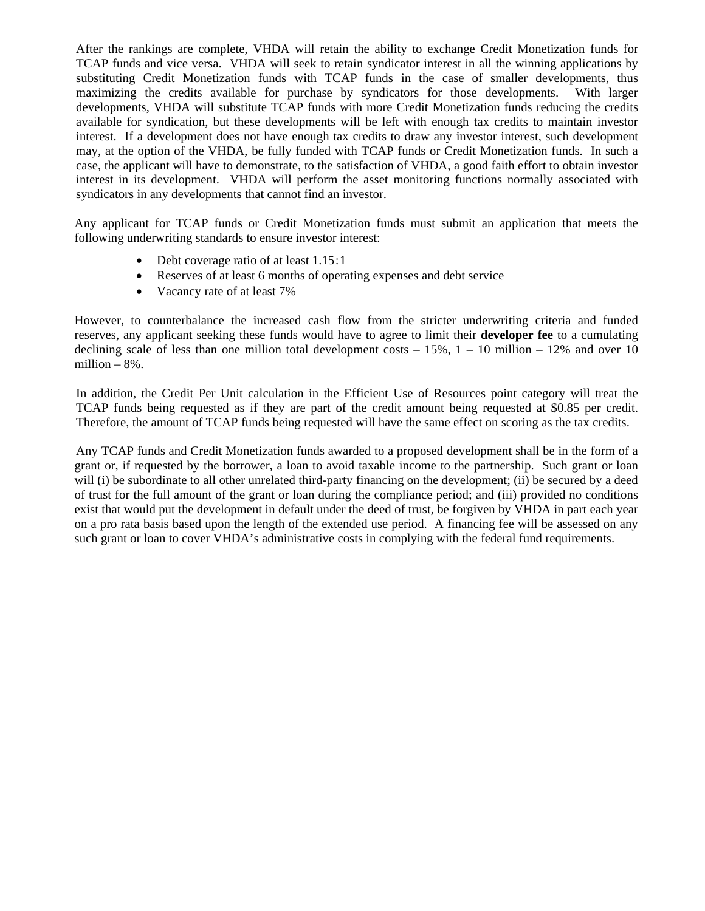After the rankings are complete, VHDA will retain the ability to exchange Credit Monetization funds for TCAP funds and vice versa. VHDA will seek to retain syndicator interest in all the winning applications by substituting Credit Monetization funds with TCAP funds in the case of smaller developments, thus maximizing the credits available for purchase by syndicators for those developments. With larger developments, VHDA will substitute TCAP funds with more Credit Monetization funds reducing the credits available for syndication, but these developments will be left with enough tax credits to maintain investor interest. If a development does not have enough tax credits to draw any investor interest, such development may, at the option of the VHDA, be fully funded with TCAP funds or Credit Monetization funds. In such a case, the applicant will have to demonstrate, to the satisfaction of VHDA, a good faith effort to obtain investor interest in its development. VHDA will perform the asset monitoring functions normally associated with syndicators in any developments that cannot find an investor.

Any applicant for TCAP funds or Credit Monetization funds must submit an application that meets the following underwriting standards to ensure investor interest:

- Debt coverage ratio of at least 1.15:1
- Reserves of at least 6 months of operating expenses and debt service
- Vacancy rate of at least 7%

However, to counterbalance the increased cash flow from the stricter underwriting criteria and funded reserves, any applicant seeking these funds would have to agree to limit their **developer fee** to a cumulating declining scale of less than one million total development costs  $-15\%$ ,  $1-10$  million  $-12\%$  and over 10 million – 8%.

In addition, the Credit Per Unit calculation in the Efficient Use of Resources point category will treat the TCAP funds being requested as if they are part of the credit amount being requested at \$0.85 per credit. Therefore, the amount of TCAP funds being requested will have the same effect on scoring as the tax credits.

Any TCAP funds and Credit Monetization funds awarded to a proposed development shall be in the form of a grant or, if requested by the borrower, a loan to avoid taxable income to the partnership. Such grant or loan will (i) be subordinate to all other unrelated third-party financing on the development; (ii) be secured by a deed of trust for the full amount of the grant or loan during the compliance period; and (iii) provided no conditions exist that would put the development in default under the deed of trust, be forgiven by VHDA in part each year on a pro rata basis based upon the length of the extended use period. A financing fee will be assessed on any such grant or loan to cover VHDA's administrative costs in complying with the federal fund requirements.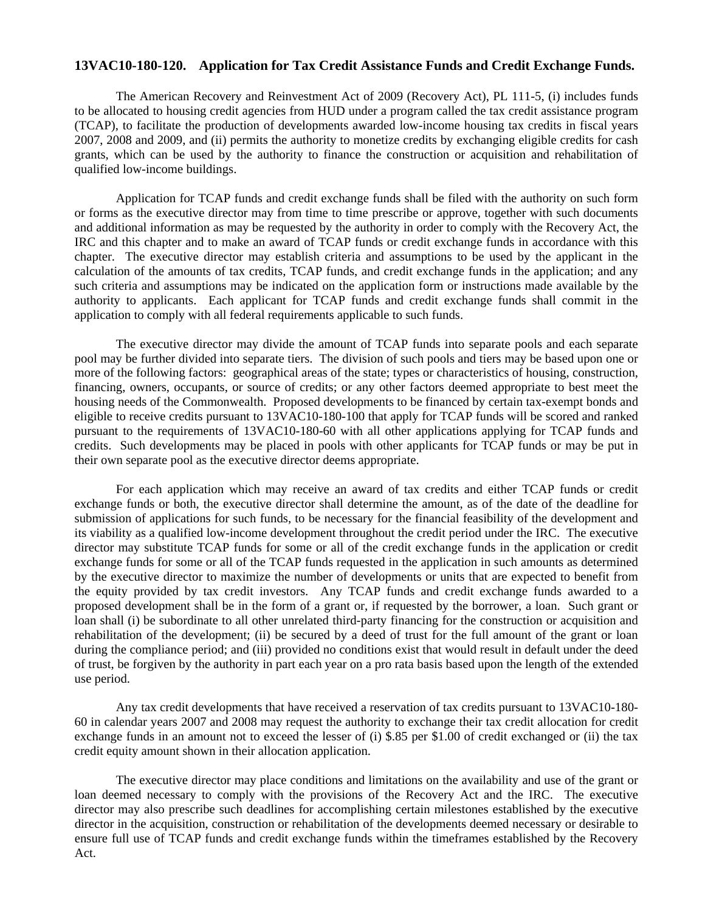### **13VAC10-180-120. Application for Tax Credit Assistance Funds and Credit Exchange Funds.**

The American Recovery and Reinvestment Act of 2009 (Recovery Act), PL 111-5, (i) includes funds to be allocated to housing credit agencies from HUD under a program called the tax credit assistance program (TCAP), to facilitate the production of developments awarded low-income housing tax credits in fiscal years 2007, 2008 and 2009, and (ii) permits the authority to monetize credits by exchanging eligible credits for cash grants, which can be used by the authority to finance the construction or acquisition and rehabilitation of qualified low-income buildings.

Application for TCAP funds and credit exchange funds shall be filed with the authority on such form or forms as the executive director may from time to time prescribe or approve, together with such documents and additional information as may be requested by the authority in order to comply with the Recovery Act, the IRC and this chapter and to make an award of TCAP funds or credit exchange funds in accordance with this chapter. The executive director may establish criteria and assumptions to be used by the applicant in the calculation of the amounts of tax credits, TCAP funds, and credit exchange funds in the application; and any such criteria and assumptions may be indicated on the application form or instructions made available by the authority to applicants. Each applicant for TCAP funds and credit exchange funds shall commit in the application to comply with all federal requirements applicable to such funds.

The executive director may divide the amount of TCAP funds into separate pools and each separate pool may be further divided into separate tiers. The division of such pools and tiers may be based upon one or more of the following factors: geographical areas of the state; types or characteristics of housing, construction, financing, owners, occupants, or source of credits; or any other factors deemed appropriate to best meet the housing needs of the Commonwealth. Proposed developments to be financed by certain tax-exempt bonds and eligible to receive credits pursuant to 13VAC10-180-100 that apply for TCAP funds will be scored and ranked pursuant to the requirements of 13VAC10-180-60 with all other applications applying for TCAP funds and credits. Such developments may be placed in pools with other applicants for TCAP funds or may be put in their own separate pool as the executive director deems appropriate.

For each application which may receive an award of tax credits and either TCAP funds or credit exchange funds or both, the executive director shall determine the amount, as of the date of the deadline for submission of applications for such funds, to be necessary for the financial feasibility of the development and its viability as a qualified low-income development throughout the credit period under the IRC. The executive director may substitute TCAP funds for some or all of the credit exchange funds in the application or credit exchange funds for some or all of the TCAP funds requested in the application in such amounts as determined by the executive director to maximize the number of developments or units that are expected to benefit from the equity provided by tax credit investors. Any TCAP funds and credit exchange funds awarded to a proposed development shall be in the form of a grant or, if requested by the borrower, a loan. Such grant or loan shall (i) be subordinate to all other unrelated third-party financing for the construction or acquisition and rehabilitation of the development; (ii) be secured by a deed of trust for the full amount of the grant or loan during the compliance period; and (iii) provided no conditions exist that would result in default under the deed of trust, be forgiven by the authority in part each year on a pro rata basis based upon the length of the extended use period.

Any tax credit developments that have received a reservation of tax credits pursuant to 13VAC10-180- 60 in calendar years 2007 and 2008 may request the authority to exchange their tax credit allocation for credit exchange funds in an amount not to exceed the lesser of (i) \$.85 per \$1.00 of credit exchanged or (ii) the tax credit equity amount shown in their allocation application.

The executive director may place conditions and limitations on the availability and use of the grant or loan deemed necessary to comply with the provisions of the Recovery Act and the IRC. The executive director may also prescribe such deadlines for accomplishing certain milestones established by the executive director in the acquisition, construction or rehabilitation of the developments deemed necessary or desirable to ensure full use of TCAP funds and credit exchange funds within the timeframes established by the Recovery Act.